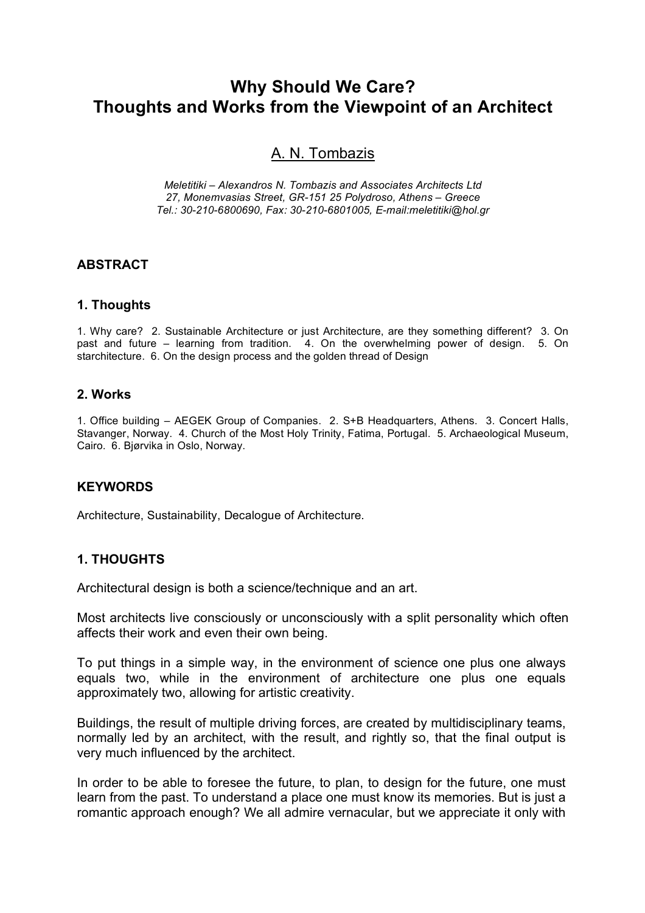# **Why Should We Care? Thoughts and Works from the Viewpoint of an Architect**

# A. N. Tombazis

*Meletitiki – Alexandros N. Tombazis and Associates Architects Ltd 27, Monemvasias Street, GR-151 25 Polydroso, Athens – Greece Tel.: 30-210-6800690, Fax: 30-210-6801005, E-mail:meletitiki@hol.gr*

## **ABSTRACT**

## **1. Thoughts**

1. Why care? 2. Sustainable Architecture or just Architecture, are they something different? 3. On past and future – learning from tradition. 4. On the overwhelming power of design. 5. On starchitecture. 6. On the design process and the golden thread of Design

#### **2. Works**

1. Office building – AEGEK Group of Companies. 2. S+B Headquarters, Athens. 3. Concert Halls, Stavanger, Norway. 4. Church of the Most Holy Trinity, Fatima, Portugal. 5. Archaeological Museum, Cairo. 6. Bjørvika in Oslo, Norway.

## **KEYWORDS**

Architecture, Sustainability, Decalogue of Architecture.

# **1. THOUGHTS**

Architectural design is both a science/technique and an art.

Most architects live consciously or unconsciously with a split personality which often affects their work and even their own being.

To put things in a simple way, in the environment of science one plus one always equals two, while in the environment of architecture one plus one equals approximately two, allowing for artistic creativity.

Buildings, the result of multiple driving forces, are created by multidisciplinary teams, normally led by an architect, with the result, and rightly so, that the final output is very much influenced by the architect.

In order to be able to foresee the future, to plan, to design for the future, one must learn from the past. To understand a place one must know its memories. But is just a romantic approach enough? We all admire vernacular, but we appreciate it only with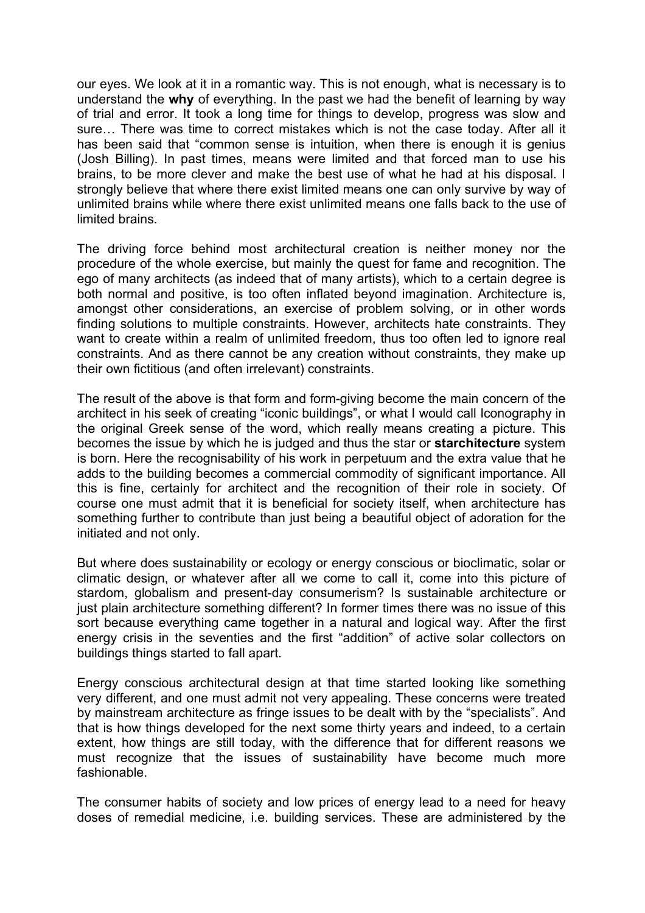our eyes. We look at it in a romantic way. This is not enough, what is necessary is to understand the **why** of everything. In the past we had the benefit of learning by way of trial and error. It took a long time for things to develop, progress was slow and sure… There was time to correct mistakes which is not the case today. After all it has been said that "common sense is intuition, when there is enough it is genius (Josh Billing). In past times, means were limited and that forced man to use his brains, to be more clever and make the best use of what he had at his disposal. I strongly believe that where there exist limited means one can only survive by way of unlimited brains while where there exist unlimited means one falls back to the use of limited brains.

The driving force behind most architectural creation is neither money nor the procedure of the whole exercise, but mainly the quest for fame and recognition. The ego of many architects (as indeed that of many artists), which to a certain degree is both normal and positive, is too often inflated beyond imagination. Architecture is, amongst other considerations, an exercise of problem solving, or in other words finding solutions to multiple constraints. However, architects hate constraints. They want to create within a realm of unlimited freedom, thus too often led to ignore real constraints. And as there cannot be any creation without constraints, they make up their own fictitious (and often irrelevant) constraints.

The result of the above is that form and form-giving become the main concern of the architect in his seek of creating "iconic buildings", or what I would call Iconography in the original Greek sense of the word, which really means creating a picture. This becomes the issue by which he is judged and thus the star or **starchitecture** system is born. Here the recognisability of his work in perpetuum and the extra value that he adds to the building becomes a commercial commodity of significant importance. All this is fine, certainly for architect and the recognition of their role in society. Of course one must admit that it is beneficial for society itself, when architecture has something further to contribute than just being a beautiful object of adoration for the initiated and not only.

But where does sustainability or ecology or energy conscious or bioclimatic, solar or climatic design, or whatever after all we come to call it, come into this picture of stardom, globalism and present-day consumerism? Is sustainable architecture or just plain architecture something different? In former times there was no issue of this sort because everything came together in a natural and logical way. After the first energy crisis in the seventies and the first "addition" of active solar collectors on buildings things started to fall apart.

Energy conscious architectural design at that time started looking like something very different, and one must admit not very appealing. These concerns were treated by mainstream architecture as fringe issues to be dealt with by the "specialists". And that is how things developed for the next some thirty years and indeed, to a certain extent, how things are still today, with the difference that for different reasons we must recognize that the issues of sustainability have become much more fashionable.

The consumer habits of society and low prices of energy lead to a need for heavy doses of remedial medicine, i.e. building services. These are administered by the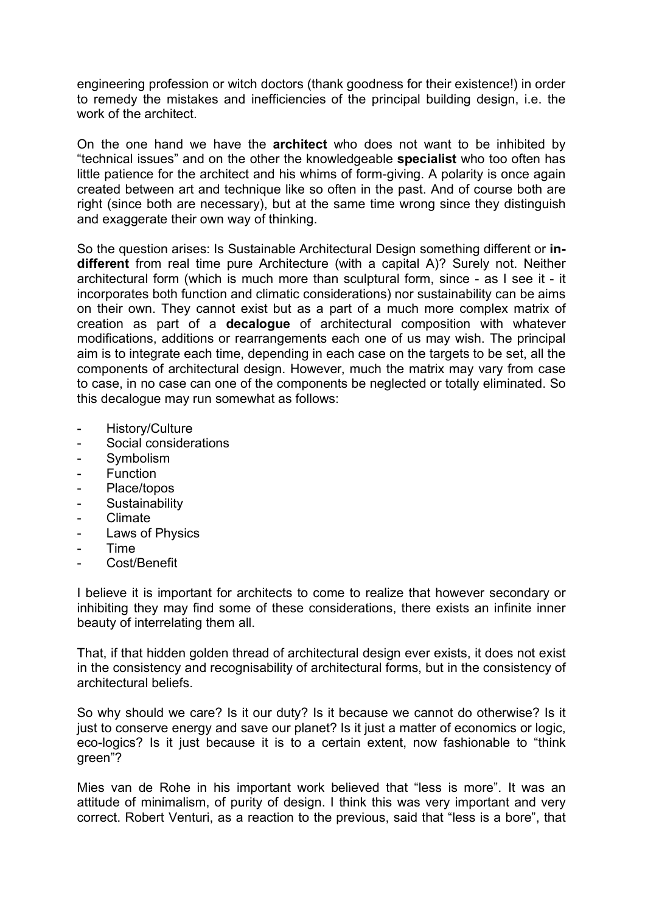engineering profession or witch doctors (thank goodness for their existence!) in order to remedy the mistakes and inefficiencies of the principal building design, i.e. the work of the architect.

On the one hand we have the **architect** who does not want to be inhibited by "technical issues" and on the other the knowledgeable **specialist** who too often has little patience for the architect and his whims of form-giving. A polarity is once again created between art and technique like so often in the past. And of course both are right (since both are necessary), but at the same time wrong since they distinguish and exaggerate their own way of thinking.

So the question arises: Is Sustainable Architectural Design something different or **indifferent** from real time pure Architecture (with a capital A)? Surely not. Neither architectural form (which is much more than sculptural form, since - as I see it - it incorporates both function and climatic considerations) nor sustainability can be aims on their own. They cannot exist but as a part of a much more complex matrix of creation as part of a **decalogue** of architectural composition with whatever modifications, additions or rearrangements each one of us may wish. The principal aim is to integrate each time, depending in each case on the targets to be set, all the components of architectural design. However, much the matrix may vary from case to case, in no case can one of the components be neglected or totally eliminated. So this decalogue may run somewhat as follows:

- History/Culture
- Social considerations
- Symbolism
- **Function**
- Place/topos
- Sustainability
- Climate
- Laws of Physics
- Time
- Cost/Benefit

I believe it is important for architects to come to realize that however secondary or inhibiting they may find some of these considerations, there exists an infinite inner beauty of interrelating them all.

That, if that hidden golden thread of architectural design ever exists, it does not exist in the consistency and recognisability of architectural forms, but in the consistency of architectural beliefs.

So why should we care? Is it our duty? Is it because we cannot do otherwise? Is it just to conserve energy and save our planet? Is it just a matter of economics or logic, eco-logics? Is it just because it is to a certain extent, now fashionable to "think green"?

Mies van de Rohe in his important work believed that "less is more". It was an attitude of minimalism, of purity of design. I think this was very important and very correct. Robert Venturi, as a reaction to the previous, said that "less is a bore", that